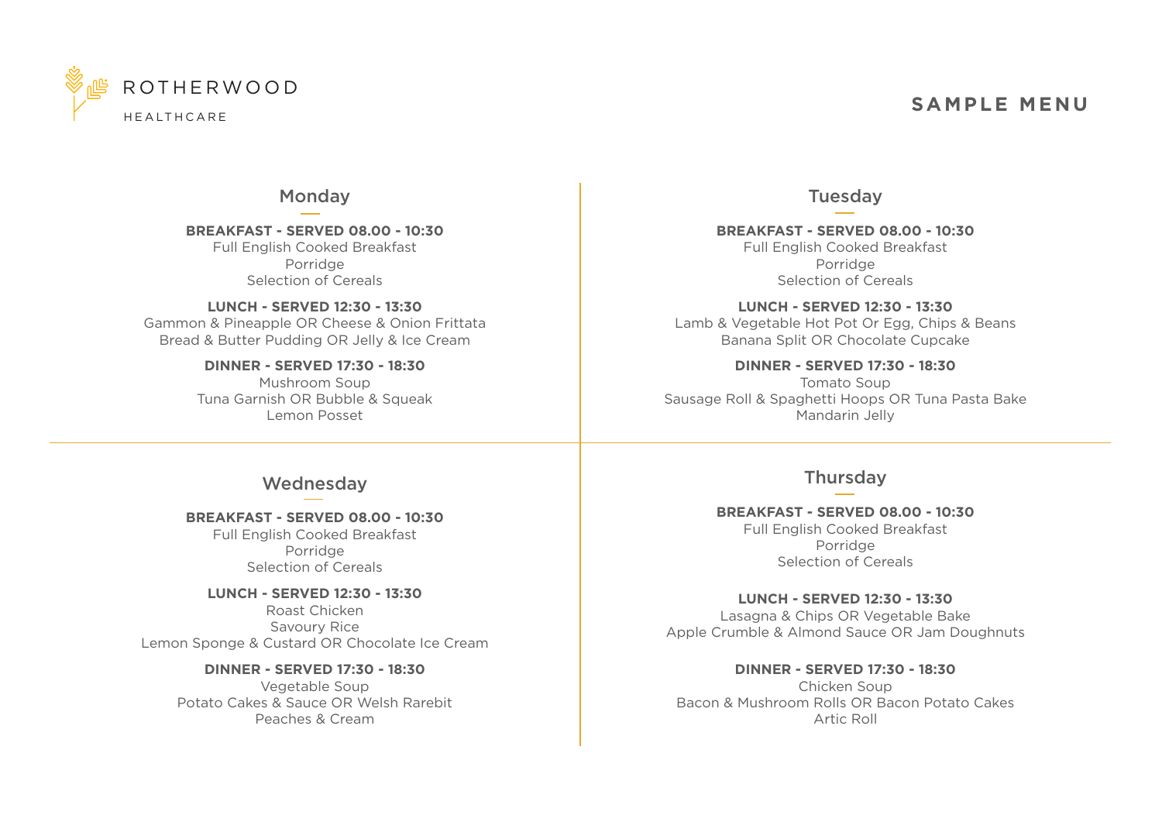

# **SAMPLE MENU**

### Monday

**BREAKFAST - SERVED 08.00 - 10:30** Full English Cooked Breakfast Porridge Selection of Cereals

**LUNCH - SERVED 12:30 - 13:30** Gammon & Pineapple OR Cheese & Onion Frittata Bread & Butter Pudding OR Jelly & Ice Cream

> **DINNER - SERVED 17:30 - 18:30** Mushroom Soup Tuna Garnish OR Bubble & Squeak Lemon Posset

### Tuesday

**BREAKFAST - SERVED 08.00 - 10:30** Full English Cooked Breakfast Porridge Selection of Cereals

**LUNCH - SERVED 12:30 - 13:30** Lamb & Vegetable Hot Pot Or Egg, Chips & Beans Banana Split OR Chocolate Cupcake

**DINNER - SERVED 17:30 - 18:30** Tomato Soup Sausage Roll & Spaghetti Hoops OR Tuna Pasta Bake Mandarin Jelly

### Wednesday

**BREAKFAST - SERVED 08.00 - 10:30**

Full English Cooked Breakfast Porridge Selection of Cereals

**LUNCH - SERVED 12:30 - 13:30** Roast Chicken Savoury Rice Lemon Sponge & Custard OR Chocolate Ice Cream

> **DINNER - SERVED 17:30 - 18:30** Vegetable Soup Potato Cakes & Sauce OR Welsh Rarebit Peaches & Cream

## **Thursday**

#### **BREAKFAST - SERVED 08.00 - 10:30** Full English Cooked Breakfast

Porridge Selection of Cereals

**LUNCH - SERVED 12:30 - 13:30** Lasagna & Chips OR Vegetable Bake Apple Crumble & Almond Sauce OR Jam Doughnuts

#### **DINNER - SERVED 17:30 - 18:30**

Chicken Soup Bacon & Mushroom Rolls OR Bacon Potato Cakes Artic Roll